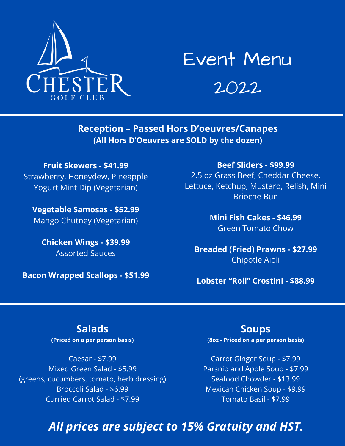

# Event Menu

2022

**Reception – Passed Hors D'oeuvres/Canapes (All Hors D'Oeuvres are SOLD by the dozen)**

**Fruit Skewers - \$41.99** Strawberry, Honeydew, Pineapple Yogurt Mint Dip (Vegetarian)

**Vegetable Samosas - \$52.99** Mango Chutney (Vegetarian)

**Chicken Wings - \$39.99** Assorted Sauces

**Bacon Wrapped Scallops - \$51.99**

**Beef Sliders - \$99.99**

2.5 oz Grass Beef, Cheddar Cheese, Lettuce, Ketchup, Mustard, Relish, Mini Brioche Bun

> **Mini Fish Cakes - \$46.99** Green Tomato Chow

**Breaded (Fried) Prawns - \$27.99** Chipotle Aioli

**Lobster "Roll" Crostini - \$88.99**

### **Salads**

**(Priced on a per person basis)**

Caesar - \$7.99 Mixed Green Salad - \$5.99 (greens, cucumbers, tomato, herb dressing) Broccoli Salad - \$6.99 Curried Carrot Salad - \$7.99

#### **Soups**

**(8oz - Priced on a per person basis)**

Carrot Ginger Soup - \$7.99 Parsnip and Apple Soup - \$7.99 Seafood Chowder - \$13.99 Mexican Chicken Soup - \$9.99 Tomato Basil - \$7.99

# *All prices are subject to 15% Gratuity and HST.*